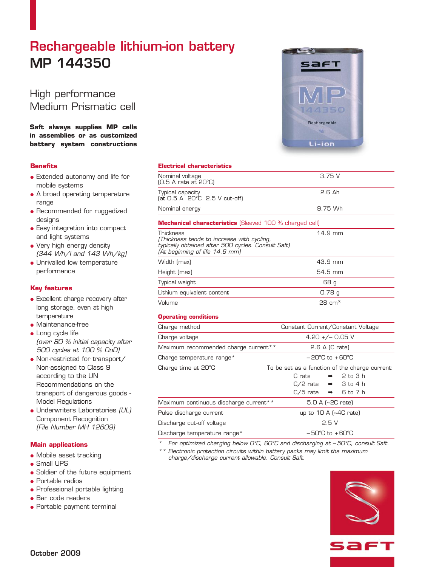# Rechargeable lithium-ion battery MP 144350

# High performance Medium Prismatic cell

## **Saft always supplies MP cells in assemblies or as customized battery system constructions**

## **Benefits**

- Extended autonomy and life for mobile systems
- A broad operating temperature range
- Recommended for ruggedized designs
- Easy integration into compact and light systems
- Very high energy density (344 Wh/l and 143 Wh/kg)
- **.** Unrivalled low temperature performance

## **Key features**

- **.** Excellent charge recovery after long storage, even at high temperature
- $\bullet$  Maintenance-free
- Long cycle life (over 80 % initial capacity after 500 cycles at 100 % DoD)
- Non-restricted for transport/ Non-assigned to Class 9 according to the UN Recommendations on the transport of dangerous goods - Model Regulations
- Underwriters Laboratories (UL) Component Recognition (File Number MH 12609)

#### **Main applications**

- Mobile asset tracking
- Small UPS
- Soldier of the future equipment
- **Portable radios**
- **Professional portable lighting**
- **e** Bar code readers
- **Portable payment terminal**

#### **Electrical characteristics**

| Nominal voltage<br>$[0.5 A$ rate at $20^{\circ}$ C)                 | 3.75 V        |
|---------------------------------------------------------------------|---------------|
| Typical capacity<br>$iat$ $0.5$ A $20^{\circ}$ $C$ $2.5$ V cut-off) | <b>2.6 Ah</b> |
| Nominal energy                                                      | 9.75 Wh       |

#### **Mechanical characteristics** (Sleeved 100 % charged cell)

Thickness 14.9 mm (Thickness tends to increase with cycling, typically obtained after 500 cycles. Consult Saft) (At beginning of life 14.6 mm)

| Width (max)                | 43.9 mm           |
|----------------------------|-------------------|
| Height (max)               | 54.5 mm           |
| Typical weight             | 68 q              |
| Lithium equivalent content | 0.78 g            |
| Volume                     | $28 \text{ cm}^3$ |

#### **Operating conditions**

| Charge method                          | Constant Current/Constant Voltage              |
|----------------------------------------|------------------------------------------------|
| Charge voltage                         | $4.20 +/- 0.05$ V                              |
| Maximum recommended charge current**   | $2.6$ A (C rate)                               |
| Charge temperature range*              | $-20^{\circ}$ C to $+60^{\circ}$ C             |
| Charge time at 20°C                    | To be set as a function of the charge current: |
|                                        | $\rightarrow$ 2 to 3 h<br>C rate               |
|                                        | $C/2$ rate $\rightarrow$ 3 to 4 h              |
|                                        | $C/5$ rate $\rightarrow$ 6 to 7 h              |
| Maximum continuous discharge current** | $5.0 A$ (~2C rate)                             |
| Pulse discharge current                | up to $10 A$ $\sim$ 4C rate)                   |
| Discharge cut-off voltage              | 2.5V                                           |
| Discharge temperature range*           | $-50^{\circ}$ C to $+60^{\circ}$ C             |

For optimized charging below O°C, 60°C and discharging at -50°C, consult Saft.

\*\* Electronic protection circuits within battery packs may limit the maximum charge/discharge current allowable. Consult Saft.